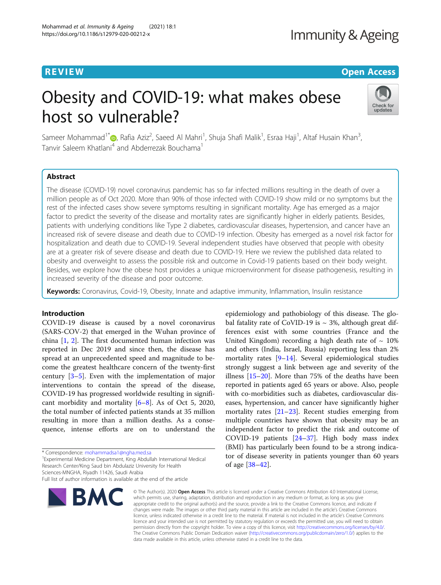## **REVIEW CONTROL** CONTROL CONTROL CONTROL CONTROL CONTROL CONTROL CONTROL CONTROL CONTROL CONTROL CONTROL CONTROL

# Obesity and COVID-19: what makes obese host so vulnerable?



Sameer Mohammad<sup>1\*</sup>©[,](http://orcid.org/0000-0002-1129-7685) Rafia Aziz<sup>2</sup>, Saeed Al Mahri<sup>1</sup>, Shuja Shafi Malik<sup>1</sup>, Esraa Haji<sup>1</sup>, Altaf Husain Khan<sup>3</sup> , Tanvir Saleem Khatlani<sup>4</sup> and Abderrezak Bouchama<sup>1</sup>

## Abstract

The disease (COVID-19) novel coronavirus pandemic has so far infected millions resulting in the death of over a million people as of Oct 2020. More than 90% of those infected with COVID-19 show mild or no symptoms but the rest of the infected cases show severe symptoms resulting in significant mortality. Age has emerged as a major factor to predict the severity of the disease and mortality rates are significantly higher in elderly patients. Besides, patients with underlying conditions like Type 2 diabetes, cardiovascular diseases, hypertension, and cancer have an increased risk of severe disease and death due to COVID-19 infection. Obesity has emerged as a novel risk factor for hospitalization and death due to COVID-19. Several independent studies have observed that people with obesity are at a greater risk of severe disease and death due to COVID-19. Here we review the published data related to obesity and overweight to assess the possible risk and outcome in Covid-19 patients based on their body weight. Besides, we explore how the obese host provides a unique microenvironment for disease pathogenesis, resulting in increased severity of the disease and poor outcome.

Keywords: Coronavirus, Covid-19, Obesity, Innate and adaptive immunity, Inflammation, Insulin resistance

## Introduction

COVID-19 disease is caused by a novel coronavirus (SARS-COV-2) that emerged in the Wuhan province of china [[1](#page-7-0), [2](#page-7-0)]. The first documented human infection was reported in Dec 2019 and since then, the disease has spread at an unprecedented speed and magnitude to become the greatest healthcare concern of the twenty-first century [\[3](#page-7-0)–[5\]](#page-7-0). Even with the implementation of major interventions to contain the spread of the disease, COVID-19 has progressed worldwide resulting in significant morbidity and mortality [[6](#page-7-0)–[8\]](#page-7-0). As of Oct 5, 2020, the total number of infected patients stands at 35 million resulting in more than a million deaths. As a consequence, intense efforts are on to understand the

Experimental Medicine Department, King Abdullah International Medical Research Center/King Saud bin Abdulaziz University for Health

Sciences-MNGHA, Riyadh 11426, Saudi Arabia

Full list of author information is available at the end of the article



epidemiology and pathobiology of this disease. The global fatality rate of CoVID-19 is  $\sim$  3%, although great differences exist with some countries (France and the United Kingdom) recording a high death rate of  $\sim 10\%$ and others (India, Israel, Russia) reporting less than 2% mortality rates [\[9](#page-7-0)–[14\]](#page-7-0). Several epidemiological studies strongly suggest a link between age and severity of the illness [[15](#page-7-0)–[20](#page-7-0)]. More than 75% of the deaths have been reported in patients aged 65 years or above. Also, people with co-morbidities such as diabetes, cardiovascular diseases, hypertension, and cancer have significantly higher mortality rates [\[21](#page-7-0)–[23\]](#page-7-0). Recent studies emerging from multiple countries have shown that obesity may be an independent factor to predict the risk and outcome of COVID-19 patients [\[24](#page-7-0)–[37\]](#page-7-0). High body mass index (BMI) has particularly been found to be a strong indicator of disease severity in patients younger than 60 years of age [\[38](#page-7-0)–[42\]](#page-7-0).

© The Author(s), 2020 **Open Access** This article is licensed under a Creative Commons Attribution 4.0 International License, which permits use, sharing, adaptation, distribution and reproduction in any medium or format, as long as you give appropriate credit to the original author(s) and the source, provide a link to the Creative Commons licence, and indicate if changes were made. The images or other third party material in this article are included in the article's Creative Commons licence, unless indicated otherwise in a credit line to the material. If material is not included in the article's Creative Commons licence and your intended use is not permitted by statutory regulation or exceeds the permitted use, you will need to obtain permission directly from the copyright holder. To view a copy of this licence, visit [http://creativecommons.org/licenses/by/4.0/.](http://creativecommons.org/licenses/by/4.0/) The Creative Commons Public Domain Dedication waiver [\(http://creativecommons.org/publicdomain/zero/1.0/](http://creativecommons.org/publicdomain/zero/1.0/)) applies to the data made available in this article, unless otherwise stated in a credit line to the data.

<sup>\*</sup> Correspondence: [mohammadsa1@ngha.med.sa](mailto:mohammadsa1@ngha.med.sa) <sup>1</sup>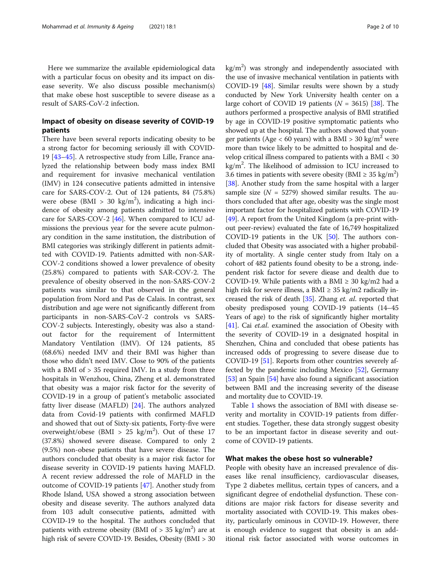Here we summarize the available epidemiological data with a particular focus on obesity and its impact on disease severity. We also discuss possible mechanism(s) that make obese host susceptible to severe disease as a result of SARS-CoV-2 infection.

## Impact of obesity on disease severity of COVID-19 patients

There have been several reports indicating obesity to be a strong factor for becoming seriously ill with COVID-19 [[43](#page-7-0)–[45](#page-7-0)]. A retrospective study from Lille, France analyzed the relationship between body mass index BMI and requirement for invasive mechanical ventilation (IMV) in 124 consecutive patients admitted in intensive care for SARS-COV-2. Out of 124 patients, 84 (75.8%) were obese (BMI > 30 kg/m<sup>2</sup>), indicating a high incidence of obesity among patients admitted to intensive care for SARS-COV-2 [[46](#page-7-0)]. When compared to ICU admissions the previous year for the severe acute pulmonary condition in the same institution, the distribution of BMI categories was strikingly different in patients admitted with COVID-19. Patients admitted with non-SAR-COV-2 conditions showed a lower prevalence of obesity (25.8%) compared to patients with SAR-COV-2. The prevalence of obesity observed in the non-SARS-COV-2 patients was similar to that observed in the general population from Nord and Pas de Calais. In contrast, sex distribution and age were not significantly different from participants in non-SARS-CoV-2 controls vs SARS-COV-2 subjects. Interestingly, obesity was also a standout factor for the requirement of Intermittent Mandatory Ventilation (IMV). Of 124 patients, 85 (68.6%) needed IMV and their BMI was higher than those who didn't need IMV. Close to 90% of the patients with a BMI of > 35 required IMV. In a study from three hospitals in Wenzhou, China, Zheng et al. demonstrated that obesity was a major risk factor for the severity of COVID-19 in a group of patient's metabolic associated fatty liver disease (MAFLD) [[24\]](#page-7-0). The authors analyzed data from Covid-19 patients with confirmed MAFLD and showed that out of Sixty-six patients, Forty-five were overweight/obese (BMI >  $25 \text{ kg/m}^2$ ). Out of these 17 (37.8%) showed severe disease. Compared to only 2 (9.5%) non-obese patients that have severe disease. The authors concluded that obesity is a major risk factor for disease severity in COVID-19 patients having MAFLD. A recent review addressed the role of MAFLD in the outcome of COVID-19 patients [[47](#page-7-0)]. Another study from Rhode Island, USA showed a strong association between obesity and disease severity. The authors analyzed data from 103 adult consecutive patients, admitted with COVID-19 to the hospital. The authors concluded that patients with extreme obesity (BMI of  $> 35$  kg/m<sup>2</sup>) are at high risk of severe COVID-19. Besides, Obesity (BMI > 30

 $kg/m<sup>2</sup>$ ) was strongly and independently associated with the use of invasive mechanical ventilation in patients with COVID-19 [[48](#page-7-0)]. Similar results were shown by a study conducted by New York University health center on a large cohort of COVID 19 patients ( $N = 3615$ ) [\[38\]](#page-7-0). The authors performed a prospective analysis of BMI stratified by age in COVID-19 positive symptomatic patients who showed up at the hospital. The authors showed that younger patients (Age  $<$  60 years) with a BMI > 30 kg/m<sup>2</sup> were more than twice likely to be admitted to hospital and develop critical illness compared to patients with a BMI < 30 kg/m<sup>2</sup>. The likelihood of admission to ICU increased to 3.6 times in patients with severe obesity (BMI  $\geq 35$  kg/m<sup>2</sup>) [[38](#page-7-0)]. Another study from the same hospital with a larger sample size  $(N = 5279)$  showed similar results. The authors concluded that after age, obesity was the single most important factor for hospitalized patients with COVID-19 [[49](#page-7-0)]. A report from the United Kingdom (a pre-print without peer-review) evaluated the fate of 16,749 hospitalized COVID-19 patients in the UK [[50](#page-8-0)]. The authors concluded that Obesity was associated with a higher probability of mortality. A single center study from Italy on a cohort of 482 patients found obesity to be a strong, independent risk factor for severe diease and dealth due to COVID-19. While patients with a BMI  $\geq$  30 kg/m2 had a high risk for severe illness, a BMI  $\geq$  35 kg/m2 radically increased the risk of death [[35\]](#page-7-0). Zhang et. al. reported that obesity predisposed young COVID-19 patients (14–45 Years of age) to the risk of significantly higher mortality [[41](#page-7-0)]. Cai et.al. examined the association of Obesity with the severity of COVID-19 in a designated hospital in Shenzhen, China and concluded that obese patients has increased odds of progressing to severe disease due to COVID-19 [\[51\]](#page-8-0). Reports from other countries severely affected by the pandemic including Mexico [[52](#page-8-0)], Germany [[53](#page-8-0)] an Spain [[54](#page-8-0)] have also found a significant association between BMI and the increasing severity of the disease and mortality due to COVID-19.

Table [1](#page-2-0) shows the association of BMI with disease severity and mortality in COVID-19 patients from different studies. Together, these data strongly suggest obesity to be an important factor in disease severity and outcome of COVID-19 patients.

### What makes the obese host so vulnerable?

People with obesity have an increased prevalence of diseases like renal insufficiency, cardiovascular diseases, Type 2 diabetes mellitus, certain types of cancers, and a significant degree of endothelial dysfunction. These conditions are major risk factors for disease severity and mortality associated with COVID-19. This makes obesity, particularly ominous in COVID-19. However, there is enough evidence to suggest that obesity is an additional risk factor associated with worse outcomes in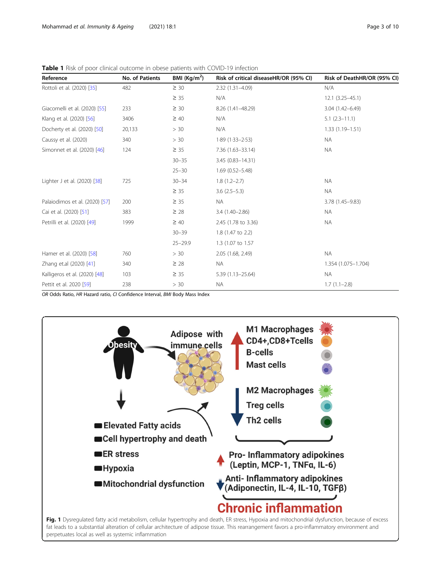<span id="page-2-0"></span>

|  | <b>Table 1</b> Risk of poor clinical outcome in obese patients with COVID-19 infection |  |  |
|--|----------------------------------------------------------------------------------------|--|--|
|--|----------------------------------------------------------------------------------------|--|--|

| Reference                      | <b>No. of Patients</b> | BMI $(Kg/m2)$ | Risk of critical diseaseHR/OR (95% CI) | Risk of DeathHR/OR (95% CI) |
|--------------------------------|------------------------|---------------|----------------------------------------|-----------------------------|
| Rottoli et al. (2020) [35]     | 482                    | $\geq 30$     | 2.32 (1.31-4.09)                       | N/A                         |
|                                |                        | $\geq 35$     | N/A                                    | $12.1 (3.25 - 45.1)$        |
| Giacomelli et al. (2020) [55]  | 233                    | $\geq 30$     | 8.26 (1.41-48.29)                      | $3.04(1.42 - 6.49)$         |
| Klang et al. (2020) [56]       | 3406                   | $\geq 40$     | N/A                                    | $5.1(2.3 - 11.1)$           |
| Docherty et al. (2020) [50]    | 20,133                 | > 30          | N/A                                    | $1.33(1.19 - 1.51)$         |
| Caussy et al. (2020)           | 340                    | > 30          | $1.89(1.33 - 2.53)$                    | <b>NA</b>                   |
| Simonnet et al. (2020) [46]    | 124                    | $\geq 35$     | 7.36 (1.63-33.14)                      | <b>NA</b>                   |
|                                |                        | $30 - 35$     | 3.45 (0.83-14.31)                      |                             |
|                                |                        | $25 - 30$     | $1.69(0.52 - 5.48)$                    |                             |
| Lighter J et al. (2020) [38]   | 725                    | $30 - 34$     | $1.8(1.2 - 2.7)$                       | <b>NA</b>                   |
|                                |                        | $\geq 35$     | $3.6(2.5-5.3)$                         | <b>NA</b>                   |
| Palaiodimos et al. (2020) [57] | 200                    | $\geq 35$     | <b>NA</b>                              | 3.78 (1.45-9.83)            |
| Cai et al. (2020) [51]         | 383                    | $\geq 28$     | 3.4 (1.40-2.86)                        | <b>NA</b>                   |
| Petrilli et al. (2020) [49]    | 1999                   | $\geq 40$     | 2.45 (1.78 to 3.36)                    | <b>NA</b>                   |
|                                |                        | $30 - 39$     | 1.8 (1.47 to 2.2)                      |                             |
|                                |                        | $25 - 29.9$   | 1.3 (1.07 to 1.57)                     |                             |
| Hamer et al. (2020) [58]       | 760                    | > 30          | 2.05 (1.68, 2.49)                      | <b>NA</b>                   |
| Zhang et.al (2020) [41]        | 340                    | $\geq 28$     | <b>NA</b>                              | 1.354 (1.075-1.704)         |
| Kalligeros et al. (2020) [48]  | 103                    | $\geq 35$     | 5.39 (1.13-25.64)                      | <b>NA</b>                   |
| Pettit et al. 2020 [59]        | 238                    | > 30          | <b>NA</b>                              | $1.7(1.1-2.8)$              |

OR Odds Ratio, HR Hazard ratio, CI Confidence Interval, BMI Body Mass Index

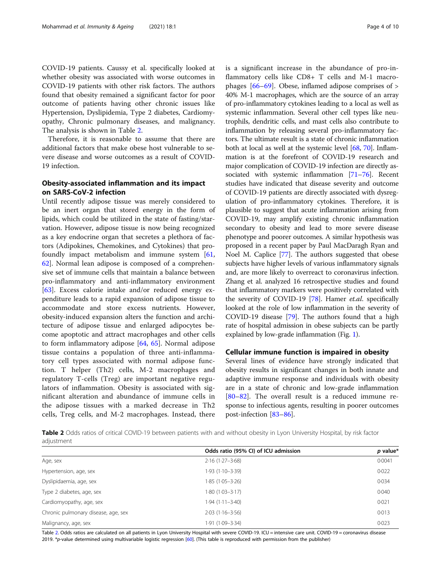COVID-19 patients. Caussy et al. specifically looked at whether obesity was associated with worse outcomes in COVID-19 patients with other risk factors. The authors found that obesity remained a significant factor for poor outcome of patients having other chronic issues like Hypertension, Dyslipidemia, Type 2 diabetes, Cardiomyopathy, Chronic pulmonary diseases, and malignancy. The analysis is shown in Table 2.

Therefore, it is reasonable to assume that there are additional factors that make obese host vulnerable to severe disease and worse outcomes as a result of COVID-19 infection.

## Obesity-associated inflammation and its impact on SARS-CoV-2 infection

Until recently adipose tissue was merely considered to be an inert organ that stored energy in the form of lipids, which could be utilized in the state of fasting/starvation. However, adipose tissue is now being recognized as a key endocrine organ that secretes a plethora of factors (Adipokines, Chemokines, and Cytokines) that profoundly impact metabolism and immune system [[61](#page-8-0), [62\]](#page-8-0). Normal lean adipose is composed of a comprehensive set of immune cells that maintain a balance between pro-inflammatory and anti-inflammatory environment [[63\]](#page-8-0). Excess calorie intake and/or reduced energy expenditure leads to a rapid expansion of adipose tissue to accommodate and store excess nutrients. However, obesity-induced expansion alters the function and architecture of adipose tissue and enlarged adipocytes become apoptotic and attract macrophages and other cells to form inflammatory adipose [\[64](#page-8-0), [65\]](#page-8-0). Normal adipose tissue contains a population of three anti-inflammatory cell types associated with normal adipose function. T helper (Th2) cells, M-2 macrophages and regulatory T-cells (Treg) are important negative regulators of inflammation. Obesity is associated with significant alteration and abundance of immune cells in the adipose tissues with a marked decrease in Th2 cells, Treg cells, and M-2 macrophages. Instead, there is a significant increase in the abundance of pro-inflammatory cells like CD8+ T cells and M-1 macrophages  $[66–69]$  $[66–69]$  $[66–69]$  $[66–69]$ . Obese, inflamed adipose comprises of  $>$ 40% M-1 macrophages, which are the source of an array of pro-inflammatory cytokines leading to a local as well as systemic inflammation. Several other cell types like neutrophils, dendritic cells, and mast cells also contribute to inflammation by releasing several pro-inflammatory factors. The ultimate result is a state of chronic inflammation both at local as well at the systemic level [\[68,](#page-8-0) [70\]](#page-8-0). Inflammation is at the forefront of COVID-19 research and major complication of COVID-19 infection are directly associated with systemic inflammation [[71](#page-8-0)–[76\]](#page-8-0). Recent studies have indicated that disease severity and outcome of COVID-19 patients are directly associated with dysregulation of pro-inflammatory cytokines. Therefore, it is plausible to suggest that acute inflammation arising from COVID-19, may amplify existing chronic inflammation secondary to obesity and lead to more severe disease phenotype and poorer outcomes. A similar hypothesis was proposed in a recent paper by Paul MacDaragh Ryan and Noel M. Caplice [\[77\]](#page-8-0). The authors suggested that obese subjects have higher levels of various inflammatory signals and, are more likely to overreact to coronavirus infection. Zhang et al. analyzed 16 retrospective studies and found that inflammatory markers were positively correlated with the severity of COVID-19 [\[78](#page-8-0)]. Hamer et.al. specifically looked at the role of low inflammation in the severity of COVID-19 disease [\[79\]](#page-8-0). The authors found that a high rate of hospital admission in obese subjects can be partly explained by low-grade inflammation (Fig. [1\)](#page-2-0).

#### Cellular immune function is impaired in obesity

Several lines of evidence have strongly indicated that obesity results in significant changes in both innate and adaptive immune response and individuals with obesity are in a state of chronic and low-grade inflammation [[80](#page-8-0)–[82](#page-8-0)]. The overall result is a reduced immune response to infectious agents, resulting in poorer outcomes post-infection [[83](#page-8-0)–[86](#page-8-0)].

Table 2 Odds ratios of critical COVID-19 between patients with and without obesity in Lyon University Hospital, by risk factor adjustment

|                                     | Odds ratio (95% CI) of ICU admission | $p$ value* |
|-------------------------------------|--------------------------------------|------------|
| Age, sex                            | $2.16(1.27 - 3.68)$                  | 0.0041     |
| Hypertension, age, sex              | 1.93 (1.10-3.39)                     | 0.022      |
| Dyslipidaemia, age, sex             | $1.85(1.05 - 3.26)$                  | 0.034      |
| Type 2 diabetes, age, sex           | 1.80 (1.03–3.17)                     | 0.040      |
| Cardiomyopathy, age, sex            | 1.94 (1.11–3.40)                     | 0.021      |
| Chronic pulmonary disease, age, sex | $2.03(1.16 - 3.56)$                  | 0.013      |
| Malignancy, age, sex                | 1.91 (1.09–3.34)                     | 0.023      |

Table 2. Odds ratios are calculated on all patients in Lyon University Hospital with severe COVID-19. ICU = intensive care unit. COVID-19 = coronavirus disease 2019. \*p-value determined using multivariable logistic regression [[60\]](#page-8-0). (This table is reproduced with permission from the publisher)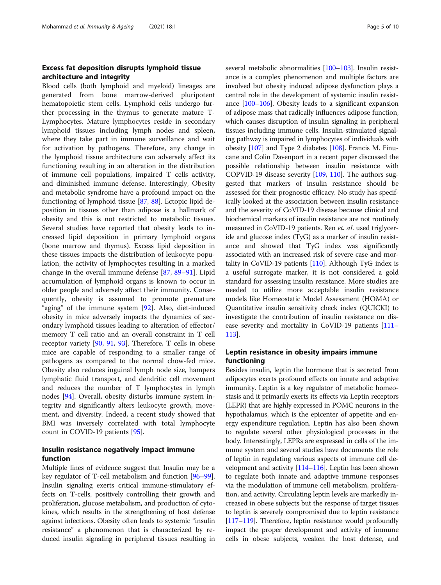## Excess fat deposition disrupts lymphoid tissue architecture and integrity

Blood cells (both lymphoid and myeloid) lineages are generated from bone marrow-derived pluripotent hematopoietic stem cells. Lymphoid cells undergo further processing in the thymus to generate mature T-Lymphocytes. Mature lymphocytes reside in secondary lymphoid tissues including lymph nodes and spleen, where they take part in immune surveillance and wait for activation by pathogens. Therefore, any change in the lymphoid tissue architecture can adversely affect its functioning resulting in an alteration in the distribution of immune cell populations, impaired T cells activity, and diminished immune defense. Interestingly, Obesity and metabolic syndrome have a profound impact on the functioning of lymphoid tissue [\[87,](#page-8-0) [88](#page-8-0)]. Ectopic lipid deposition in tissues other than adipose is a hallmark of obesity and this is not restricted to metabolic tissues. Several studies have reported that obesity leads to increased lipid deposition in primary lymphoid organs (bone marrow and thymus). Excess lipid deposition in these tissues impacts the distribution of leukocyte population, the activity of lymphocytes resulting in a marked change in the overall immune defense [\[87](#page-8-0), [89](#page-8-0)–[91\]](#page-8-0). Lipid accumulation of lymphoid organs is known to occur in older people and adversely affect their immunity. Consequently, obesity is assumed to promote premature "aging" of the immune system [\[92](#page-8-0)]. Also, diet-induced obesity in mice adversely impacts the dynamics of secondary lymphoid tissues leading to alteration of effector/ memory T cell ratio and an overall constraint in T cell receptor variety [\[90](#page-8-0), [91,](#page-8-0) [93](#page-8-0)]. Therefore, T cells in obese mice are capable of responding to a smaller range of pathogens as compared to the normal chow-fed mice. Obesity also reduces inguinal lymph node size, hampers lymphatic fluid transport, and dendritic cell movement and reduces the number of T lymphocytes in lymph nodes [\[94](#page-8-0)]. Overall, obesity disturbs immune system integrity and significantly alters leukocyte growth, movement, and diversity. Indeed, a recent study showed that BMI was inversely correlated with total lymphocyte count in COVID-19 patients [[95\]](#page-8-0).

## Insulin resistance negatively impact immune function

Multiple lines of evidence suggest that Insulin may be a key regulator of T-cell metabolism and function [\[96](#page-8-0)–[99](#page-9-0)]. Insulin signaling exerts critical immune-stimulatory effects on T-cells, positively controlling their growth and proliferation, glucose metabolism, and production of cytokines, which results in the strengthening of host defense against infections. Obesity often leads to systemic "insulin resistance" a phenomenon that is characterized by reduced insulin signaling in peripheral tissues resulting in several metabolic abnormalities [\[100](#page-9-0)–[103\]](#page-9-0). Insulin resistance is a complex phenomenon and multiple factors are involved but obesity induced adipose dysfunction plays a central role in the development of systemic insulin resistance [\[100](#page-9-0)–[106\]](#page-9-0). Obesity leads to a significant expansion of adipose mass that radically influences adipose function, which causes disruption of insulin signaling in peripheral tissues including immune cells. Insulin-stimulated signaling pathway is impaired in lymphocytes of individuals with obesity [\[107](#page-9-0)] and Type 2 diabetes [[108](#page-9-0)]. Francis M. Finucane and Colin Davenport in a recent paper discussed the possible relationship between insulin resistance with COPVID-19 disease severity [[109](#page-9-0), [110](#page-9-0)]. The authors suggested that markers of insulin resistance should be assessed for their prognostic efficacy. No study has specifically looked at the association between insulin resistance and the severity of CoVID-19 disease because clinical and biochemical markers of insulin resistance are not routinely measured in CoVID-19 patients. Ren et. al. used triglyceride and glucose index (TyG) as a marker of insulin resistance and showed that TyG index was significantly associated with an increased risk of severe case and mortality in CoVID-19 patients [[110](#page-9-0)]. Although TyG index is a useful surrogate marker, it is not considered a gold standard for assessing insulin resistance. More studies are needed to utilize more acceptable insulin resistance models like Homeostatic Model Assessment (HOMA) or Quantitative insulin sensitivity check index (QUICKI) to investigate the contribution of insulin resistance on disease severity and mortality in CoVID-19 patients [\[111](#page-9-0)– [113](#page-9-0)].

## Leptin resistance in obesity impairs immune functioning

Besides insulin, leptin the hormone that is secreted from adipocytes exerts profound effects on innate and adaptive immunity. Leptin is a key regulator of metabolic homeostasis and it primarily exerts its effects via Leptin receptors (LEPR) that are highly expressed in POMC neurons in the hypothalamus, which is the epicenter of appetite and energy expenditure regulation. Leptin has also been shown to regulate several other physiological processes in the body. Interestingly, LEPRs are expressed in cells of the immune system and several studies have documents the role of leptin in regulating various aspects of immune cell development and activity  $[114–116]$  $[114–116]$  $[114–116]$  $[114–116]$ . Leptin has been shown to regulate both innate and adaptive immune responses via the modulation of immune cell metabolism, proliferation, and activity. Circulating leptin levels are markedly increased in obese subjects but the response of target tissues to leptin is severely compromised due to leptin resistance [[117](#page-9-0)–[119\]](#page-9-0). Therefore, leptin resistance would profoundly impact the proper development and activity of immune cells in obese subjects, weaken the host defense, and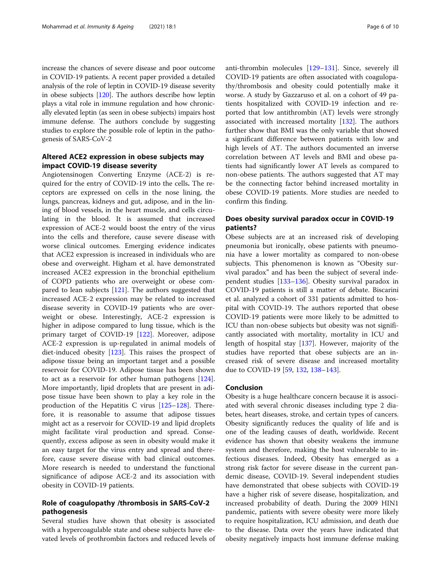increase the chances of severe disease and poor outcome in COVID-19 patients. A recent paper provided a detailed analysis of the role of leptin in COVID-19 disease severity in obese subjects [\[120\]](#page-9-0). The authors describe how leptin plays a vital role in immune regulation and how chronically elevated leptin (as seen in obese subjects) impairs host immune defense. The authors conclude by suggesting studies to explore the possible role of leptin in the pathogenesis of SARS-CoV-2

## Altered ACE2 expression in obese subjects may impact COVID-19 disease severity

Angiotensinogen Converting Enzyme (ACE-2) is required for the entry of COVID-19 into the cells. The receptors are expressed on cells in the nose lining, the lungs, pancreas, kidneys and gut, adipose, and in the lining of blood vessels, in the heart muscle, and cells circulating in the blood. It is assumed that increased expression of ACE-2 would boost the entry of the virus into the cells and therefore, cause severe disease with worse clinical outcomes. Emerging evidence indicates that ACE2 expression is increased in individuals who are obese and overweight. Higham et al. have demonstrated increased ACE2 expression in the bronchial epithelium of COPD patients who are overweight or obese compared to lean subjects [\[121\]](#page-9-0). The authors suggested that increased ACE-2 expression may be related to increased disease severity in COVID-19 patients who are overweight or obese. Interestingly, ACE-2 expression is higher in adipose compared to lung tissue, which is the primary target of COVID-19 [[122\]](#page-9-0). Moreover, adipose ACE-2 expression is up-regulated in animal models of diet-induced obesity [[123](#page-9-0)]. This raises the prospect of adipose tissue being an important target and a possible reservoir for COVID-19. Adipose tissue has been shown to act as a reservoir for other human pathogens [\[124](#page-9-0)]. More importantly, lipid droplets that are present in adipose tissue have been shown to play a key role in the production of the Hepatitis C virus [\[125](#page-9-0)–[128\]](#page-9-0). Therefore, it is reasonable to assume that adipose tissues might act as a reservoir for COVID-19 and lipid droplets might facilitate viral production and spread. Consequently, excess adipose as seen in obesity would make it an easy target for the virus entry and spread and therefore, cause severe disease with bad clinical outcomes. More research is needed to understand the functional significance of adipose ACE-2 and its association with obesity in COVID-19 patients.

## Role of coagulopathy /thrombosis in SARS-CoV-2 pathogenesis

Several studies have shown that obesity is associated with a hypercoagulable state and obese subjects have elevated levels of prothrombin factors and reduced levels of anti-thrombin molecules [\[129](#page-9-0)–[131\]](#page-9-0). Since, severely ill COVID-19 patients are often associated with coagulopathy/thrombosis and obesity could potentially make it worse. A study by Gazzaruso et al. on a cohort of 49 patients hospitalized with COVID-19 infection and reported that low antithrombin (AT) levels were strongly associated with increased mortality [[132\]](#page-9-0). The authors further show that BMI was the only variable that showed a significant difference between patients with low and high levels of AT. The authors documented an inverse correlation between AT levels and BMI and obese patients had significantly lower AT levels as compared to non-obese patients. The authors suggested that AT may be the connecting factor behind increased mortality in obese COVID-19 patients. More studies are needed to confirm this finding.

## Does obesity survival paradox occur in COVID-19 patients?

Obese subjects are at an increased risk of developing pneumonia but ironically, obese patients with pneumonia have a lower mortality as compared to non-obese subjects. This phenomenon is known as "Obesity survival paradox" and has been the subject of several independent studies [[133](#page-9-0)–[136](#page-9-0)]. Obesity survival paradox in COVID-19 patients is still a matter of debate. Biscarini et al. analyzed a cohort of 331 patients admitted to hospital with COVID-19. The authors reported that obese COVID-19 patients were more likely to be admitted to ICU than non-obese subjects but obesity was not significantly associated with mortality, mortality in ICU and length of hospital stay [\[137\]](#page-9-0). However, majority of the studies have reported that obese subjects are an increased risk of severe disease and increased mortality due to COVID-19 [[59,](#page-8-0) [132](#page-9-0), [138](#page-9-0)–[143\]](#page-9-0).

#### Conclusion

Obesity is a huge healthcare concern because it is associated with several chronic diseases including type 2 diabetes, heart diseases, stroke, and certain types of cancers. Obesity significantly reduces the quality of life and is one of the leading causes of death, worldwide. Recent evidence has shown that obesity weakens the immune system and therefore, making the host vulnerable to infectious diseases. Indeed, Obesity has emerged as a strong risk factor for severe disease in the current pandemic disease, COVID-19. Several independent studies have demonstrated that obese subjects with COVID-19 have a higher risk of severe disease, hospitalization, and increased probability of death. During the 2009 HIN1 pandemic, patients with severe obesity were more likely to require hospitalization, ICU admission, and death due to the disease. Data over the years have indicated that obesity negatively impacts host immune defense making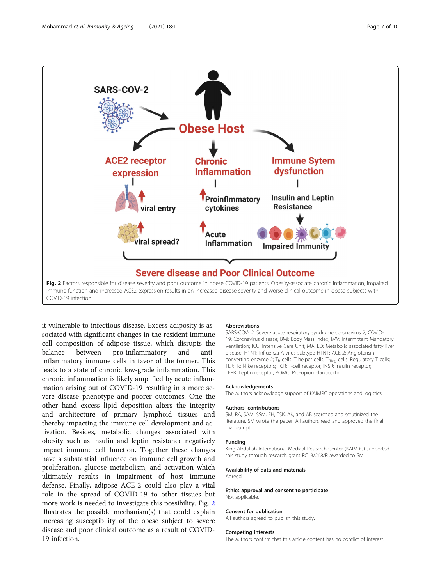

it vulnerable to infectious disease. Excess adiposity is associated with significant changes in the resident immune cell composition of adipose tissue, which disrupts the balance between pro-inflammatory and antiinflammatory immune cells in favor of the former. This leads to a state of chronic low-grade inflammation. This chronic inflammation is likely amplified by acute inflammation arising out of COVID-19 resulting in a more severe disease phenotype and poorer outcomes. One the other hand excess lipid deposition alters the integrity and architecture of primary lymphoid tissues and thereby impacting the immune cell development and activation. Besides, metabolic changes associated with obesity such as insulin and leptin resistance negatively impact immune cell function. Together these changes have a substantial influence on immune cell growth and proliferation, glucose metabolism, and activation which ultimately results in impairment of host immune defense. Finally, adipose ACE-2 could also play a vital role in the spread of COVID-19 to other tissues but more work is needed to investigate this possibility. Fig. 2 illustrates the possible mechanism(s) that could explain increasing susceptibility of the obese subject to severe disease and poor clinical outcome as a result of COVID-19 infection.

#### Abbreviations

SARS-COV- 2: Severe acute respiratory syndrome coronavirus 2; COVID-19: Coronavirus disease; BMI: Body Mass Index; IMV: Intermittent Mandatory Ventilation; ICU: Intensive Care Unit; MAFLD: Metabolic associated fatty liver disease; H1N1: Influenza A virus subtype H1N1; ACE-2: Angiotensinconverting enzyme 2;  $T_h$  cells: T helper cells; T-<sub>Reg</sub> cells: Regulatory T cells; TLR: Toll-like receptors; TCR: T-cell receptor; INSR: Insulin receptor; LEPR: Leptin receptor; POMC: Pro-opiomelanocortin

#### Acknowledgements

The authors acknowledge support of KAIMRC operations and logistics.

#### Authors' contributions

SM, RA, SAM, SSM, EH, TSK, AK, and AB searched and scrutinized the literature. SM wrote the paper. All authors read and approved the final manuscript.

#### Funding

King Abdullah International Medical Research Center (KAIMRC) supported this study through research grant RC13/268/R awarded to SM.

#### Availability of data and materials

Agreed.

#### Ethics approval and consent to participate Not applicable.

#### Consent for publication

All authors agreed to publish this study.

#### Competing interests

The authors confirm that this article content has no conflict of interest.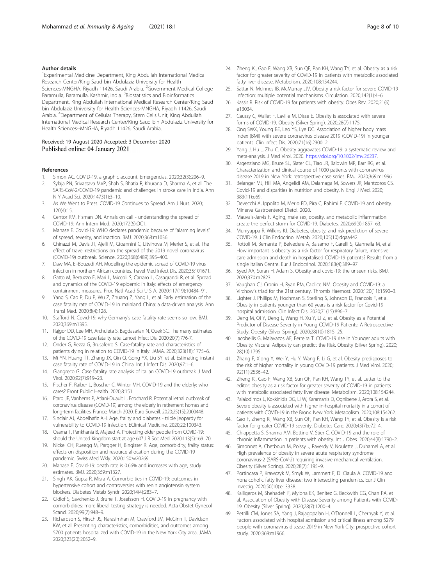#### <span id="page-7-0"></span>Author details

1 Experimental Medicine Department, King Abdullah International Medical Research Center/King Saud bin Abdulaziz University for Health Sciences-MNGHA, Riyadh 11426, Saudi Arabia. <sup>2</sup>Government Medical College Baramulla, Baramulla, Kashmir, India. <sup>3</sup>Biostatistics and Bioinformatics Department, King Abdullah International Medical Research Center/King Saud bin Abdulaziz University for Health Sciences-MNGHA, Riyadh 11426, Saudi Arabia. <sup>4</sup>Department of Cellular Therapy, Stem Cells Unit, King Abdullah International Medical Research Center/King Saud bin Abdulaziz University for Health Sciences--MNGHA, Riyadh 11426, Saudi Arabia.

#### Received: 19 August 2020 Accepted: 3 December 2020 Published online: 04 January 2021

#### References

- Simon AC. COVID-19, a graphic account. Emergencias. 2020;32(3):206-9.
- 2. Sylaja PN, Srivastava MVP, Shah S, Bhatia R, Khurana D, Sharma A, et al. The SARS-CoV-2/COVID-19 pandemic and challenges in stroke care in India. Ann N Y Acad Sci. 2020;1473(1):3–10.
- 3. As We Went to Press. COVID-19 Continues to Spread. Am J Nurs. 2020; 120(4):15.
- 4. Centor RM, Fisman DN. Annals on call understanding the spread of COVID-19. Ann Intern Med. 2020;172(6):OC1.
- 5. Mahase E. Covid-19: WHO declares pandemic because of "alarming levels" of spread, severity, and inaction. BMJ. 2020;368:m1036.
- 6. Chinazzi M, Davis JT, Ajelli M, Gioannini C, Litvinova M, Merler S, et al. The effect of travel restrictions on the spread of the 2019 novel coronavirus (COVID-19) outbreak. Science. 2020;368(6489):395–400.
- 7. Daw MA, El-Bouzedi AH. Modelling the epidemic spread of COVID-19 virus infection in northern African countries. Travel Med Infect Dis. 2020;35:101671.
- 8. Gatto M, Bertuzzo E, Mari L, Miccoli S, Carraro L, Casagrandi R, et al. Spread and dynamics of the COVID-19 epidemic in Italy: effects of emergency containment measures. Proc Natl Acad Sci U S A. 2020;117(19):10484–91.
- 9. Yang S, Cao P, Du P, Wu Z, Zhuang Z, Yang L, et al. Early estimation of the case fatality rate of COVID-19 in mainland China: a data-driven analysis. Ann Transl Med. 2020;8(4):128.
- 10. Stafford N. Covid-19: why Germany's case fatality rate seems so low. BMJ. 2020;369:m1395.
- 11. Rajgor DD, Lee MH, Archuleta S, Bagdasarian N, Quek SC. The many estimates of the COVID-19 case fatality rate. Lancet Infect Dis. 2020;20(7):776-7.
- 12. Onder G, Rezza G, Brusaferro S. Case-fatality rate and characteristics of patients dying in relation to COVID-19 in Italy. JAMA. 2020;323(18):1775–6.
- 13. Mi YN, Huang TT, Zhang JX, Qin Q, Gong YX, Liu SY, et al. Estimating instant case fatality rate of COVID-19 in China. Int J Infect Dis. 2020;97:1–6.
- 14. Giangreco G. Case fatality rate analysis of Italian COVID-19 outbreak. J Med Virol. 2020;92(7):919–23.
- 15. Fischer F, Raiber L, Boscher C, Winter MH. COVID-19 and the elderly: who cares? Front Public Health. 2020;8:151.
- 16. Etard JF, Vanhems P, Atlani-Duault L, Ecochard R. Potential lethal outbreak of coronavirus disease (COVID-19) among the elderly in retirement homes and long-term facilities, France, March 2020. Euro Surveill. 2020;25(15):2000448.
- 17. Sinclair AJ, Abdelhafiz AH. Age, frailty and diabetes triple jeopardy for vulnerability to COVID-19 infection. EClinical Medicine. 2020;22:100343.
- 18. Osama T, Pankhania B, Majeed A. Protecting older people from COVID-19: should the United Kingdom start at age 60? J R Soc Med. 2020;113(5):169–70.
- 19. Nickel CH, Rueegg M, Pargger H, Bingisser R. Age, comorbidity, frailty status: effects on disposition and resource allocation during the COVID-19 pandemic. Swiss Med Wkly. 2020;150:w20269.
- 20. Mahase E. Covid-19: death rate is 0.66% and increases with age, study estimates. BMJ. 2020;369:m1327.
- 21. Singh AK, Gupta R, Misra A. Comorbidities in COVID-19: outcomes in hypertensive cohort and controversies with renin angiotensin system blockers. Diabetes Metab Syndr. 2020;14(4):283–7.
- 22. Gidlof S, Savchenko J, Brune T, Josefsson H. COVID-19 in pregnancy with comorbidities: more liberal testing strategy is needed. Acta Obstet Gynecol Scand. 2020;99(7):948–9.
- 23. Richardson S, Hirsch JS, Narasimhan M, Crawford JM, McGinn T, Davidson KW, et al. Presenting characteristics, comorbidities, and outcomes among 5700 patients hospitalized with COVID-19 in the New York City area. JAMA. 2020;323(20):2052–9.
- 24. Zheng KI, Gao F, Wang XB, Sun QF, Pan KH, Wang TY, et al. Obesity as a risk factor for greater severity of COVID-19 in patients with metabolic associated fatty liver disease. Metabolism. 2020;108:154244.
- 25. Sattar N, McInnes IB, McMurray JJV. Obesity a risk factor for severe COVID-19 infection: multiple potential mechanisms. Circulation. 2020;142(1):4–6.
- 26. Kassir R. Risk of COVID-19 for patients with obesity. Obes Rev. 2020;21(6): e13034.
- 27. Caussy C, Wallet F, Laville M, Disse E. Obesity is associated with severe forms of COVID-19. Obesity (Silver Spring). 2020;28(7):1175.
- 28. Ong SWX, Young BE, Leo YS, Lye DC. Association of higher body mass index (BMI) with severe coronavirus disease 2019 (COVID-19) in younger patients. Clin Infect Dis. 2020;71(16):2300–2.
- 29. Yang J, Hu J, Zhu C. Obesity aggravates COVID-19: a systematic review and meta-analysis. J Med Virol. 2020. <https://doi.org/10.1002/jmv.26237>.
- 30. Argenziano MG, Bruce SL, Slater CL, Tiao JR, Baldwin MR, Barr RG, et al. Characterization and clinical course of 1000 patients with coronavirus disease 2019 in New York: retrospective case series. BMJ. 2020;369:m1996.
- 31. Belanger MJ, Hill MA, Angelidi AM, Dalamaga M, Sowers JR, Mantzoros CS. Covid-19 and disparities in nutrition and obesity. N Engl J Med. 2020; 383(11):e69.
- 32. Devecchi A, Ippolito M, Merlo FD, Pira C, Rahimi F. COVID-19 and obesity. Minerva Gastroenterol Dietol. 2020.
- 33. Mauvais-Jarvis F. Aging, male sex, obesity, and metabolic inflammation create the perfect storm for COVID-19. Diabetes. 2020;69(9):1857–63.
- 34. Muniyappa R, Wilkins KJ. Diabetes, obesity, and risk prediction of severe COVID-19. J Clin Endocrinol Metab. 2020;105(10):dgaa442.
- 35. Rottoli M, Bernante P, Belvedere A, Balsamo F, Garelli S, Giannella M, et al. How important is obesity as a risk factor for respiratory failure, intensive care admission and death in hospitalised COVID-19 patients? Results from a single Italian Centre. Eur J Endocrinol. 2020;183(4):389–97.
- Syed AA, Soran H, Adam S. Obesity and covid-19: the unseen risks. BMJ. 2020;370:m2823.
- 37. Vaughan CJ, Cronin H, Ryan PM, Caplice NM. Obesity and COVID-19: a Virchow's triad for the 21st century. Thromb Haemost. 2020;120(11):1590–3.
- 38. Lighter J, Phillips M, Hochman S, Sterling S, Johnson D, Francois F, et al. Obesity in patients younger than 60 years is a risk factor for Covid-19 hospital admission. Clin Infect Dis. 2020;71(15):896–7.
- 39. Deng M, Qi Y, Deng L, Wang H, Xu Y, Li Z, et al. Obesity as a Potential Predictor of Disease Severity in Young COVID-19 Patients: A Retrospective Study. Obesity (Silver Spring). 2020;28(10):1815–25.
- 40. Iacobellis G, Malavazos AE, Ferreira T. COVID-19 rise in Younger adults with Obesity: Visceral Adiposity can predict the Risk. Obesity (Silver Spring). 2020; 28(10):1795.
- 41. Zhang F, Xiong Y, Wei Y, Hu Y, Wang F, Li G, et al. Obesity predisposes to the risk of higher mortality in young COVID-19 patients. J Med Virol. 2020; 92(11):2536–42.
- 42. Zheng KI, Gao F, Wang XB, Sun QF, Pan KH, Wang TY, et al. Letter to the editor: obesity as a risk factor for greater severity of COVID-19 in patients with metabolic associated fatty liver disease. Metabolism. 2020;108:154244.
- 43. Palaiodimos L, Kokkinidis DG, Li W, Karamanis D, Ognibene J, Arora S, et al. Severe obesity is associated with higher in-hospital mortality in a cohort of patients with COVID-19 in the Bronx. New York. Metabolism. 2020;108:154262.
- 44. Gao F, Zheng KI, Wang XB, Sun QF, Pan KH, Wang TY, et al. Obesity is a risk factor for greater COVID-19 severity. Diabetes Care. 2020;43(7):e72–4.
- 45. Chiappetta S, Sharma AM, Bottino V, Stier C. COVID-19 and the role of chronic inflammation in patients with obesity. Int J Obes. 2020;44(8):1790–2.
- 46. Simonnet A, Chetboun M, Poissy J, Raverdy V, Noulette J, Duhamel A, et al. High prevalence of obesity in severe acute respiratory syndrome coronavirus-2 (SARS-CoV-2) requiring invasive mechanical ventilation. Obesity (Silver Spring). 2020;28(7):1195–9.
- 47. Portincasa P, Krawczyk M, Smyk W, Lammert F, Di Ciaula A. COVID-19 and nonalcoholic fatty liver disease: two intersecting pandemics. Eur J Clin Investig. 2020;50(10):e13338.
- 48. Kalligeros M, Shehadeh F, Mylona EK, Benitez G, Beckwith CG, Chan PA, et al. Association of Obesity with Disease Severity among Patients with COVID-19. Obesity (Silver Spring). 2020;28(7):1200–4.
- 49. Petrilli CM, Jones SA, Yang J, Rajagopalan H, O'Donnell L, Chernyak Y, et al. Factors associated with hospital admission and critical illness among 5279 people with coronavirus disease 2019 in New York City: prospective cohort study. 2020;369:m1966.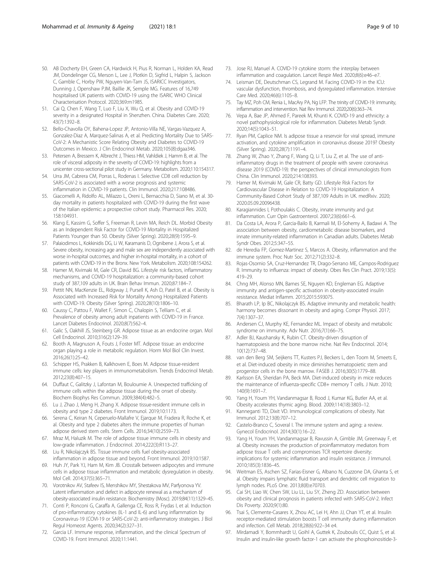- <span id="page-8-0"></span>50. AB Docherty EH, Green CA, Hardwick H, Pius R, Norman L, Holden KA, Read JM, Dondelinger CG, Merson L, Lee J, Plotkin D, Sigfrid L, Halpin S, Jackson C, Gamble C, Horby PW, Nguyen-Van-Tam JS, ISARICC Investigators, Dunning J, Openshaw PJM, Baillie JK, Semple MG. Features of 16,749 hospitalised UK patients with COVID-19 using the ISARIC WHO Clinical Characterisation Protocol. 2020;369:m1985.
- 51. Cai Q, Chen F, Wang T, Luo F, Liu X, Wu Q, et al. Obesity and COVID-19 severity in a designated Hospital in Shenzhen. China. Diabetes Care. 2020; 43(7):1392–8.
- 52. Bello-Chavolla OY, Bahena-Lopez JP, Antonio-Villa NE, Vargas-Vazquez A, Gonzalez-Diaz A, Marquez-Salinas A, et al. Predicting Mortality Due to SARS-CoV-2: A Mechanistic Score Relating Obesity and Diabetes to COVID-19 Outcomes in Mexico. J Clin Endocrinol Metab. 2020;105(8):dgaa346.
- 53. Petersen A, Bressem K, Albrecht J, Thiess HM, Vahldiek J, Hamm B, et al. The role of visceral adiposity in the severity of COVID-19: highlights from a unicenter cross-sectional pilot study in Germany. Metabolism. 2020;110:154317.
- 54. Urra JM, Cabrera CM, Porras L, Rodenas I. Selective CD8 cell reduction by SARS-CoV-2 is associated with a worse prognosis and systemic inflammation in COVID-19 patients. Clin Immunol. 2020;217:108486.
- 55. Giacomelli A, Ridolfo AL, Milazzo L, Oreni L, Bernacchia D, Siano M, et al. 30 day mortality in patients hospitalized with COVID-19 during the first wave of the Italian epidemic: a prospective cohort study. Pharmacol Res. 2020; 158:104931.
- 56. Klang E, Kassim G, Soffer S, Freeman R, Levin MA, Reich DL. Morbid Obesity as an Independent Risk Factor for COVID-19 Mortality in Hospitalized Patients Younger than 50. Obesity (Silver Spring). 2020;28(9):1595–9.
- 57. Palaiodimos L, Kokkinidis DG, Li W, Karamanis D, Ognibene J, Arora S, et al. Severe obesity, increasing age and male sex are independently associated with worse in-hospital outcomes, and higher in-hospital mortality, in a cohort of patients with COVID-19 in the Bronx. New York. Metabolism. 2020;108:154262.
- 58. Hamer M, Kivimaki M, Gale CR, David BG. Lifestyle risk factors, inflammatory mechanisms, and COVID-19 hospitalization: a community-based cohort study of 387,109 adults in UK. Brain Behav Immun. 2020;87:184–7.
- 59. Pettit NN, MacKenzie EL, Ridgway J, Pursell K, Ash D, Patel B, et al. Obesity is Associated with Increased Risk for Mortality Among Hospitalized Patients with COVID-19. Obesity (Silver Spring). 2020;28(10):1806–10.
- 60. Caussy C, Pattou F, Wallet F, Simon C, Chalopin S, Telliam C, et al. Prevalence of obesity among adult inpatients with COVID-19 in France. Lancet Diabetes Endocrinol. 2020;8(7):562–4.
- 61. Galic S, Oakhill JS, Steinberg GR. Adipose tissue as an endocrine organ. Mol Cell Endocrinol. 2010;316(2):129–39.
- 62. Booth A, Magnuson A, Fouts J, Foster MT. Adipose tissue: an endocrine organ playing a role in metabolic regulation. Horm Mol Biol Clin Invest. 2016;26(1):25–42.
- 63. Schipper HS, Prakken B, Kalkhoven E, Boes M. Adipose tissue-resident immune cells: key players in immunometabolism. Trends Endocrinol Metab. 2012;23(8):407–15.
- 64. Duffaut C, Galitzky J, Lafontan M, Bouloumie A. Unexpected trafficking of immune cells within the adipose tissue during the onset of obesity. Biochem Biophys Res Commun. 2009;384(4):482–5.
- 65. Lu J, Zhao J, Meng H, Zhang X. Adipose tissue-resident immune cells in obesity and type 2 diabetes. Front Immunol. 2019;10:1173.
- 66. Serena C, Keiran N, Ceperuelo-Mallafre V, Ejarque M, Fradera R, Roche K, et al. Obesity and type 2 diabetes alters the immune properties of human adipose derived stem cells. Stem Cells. 2016;34(10):2559–73.
- 67. Mraz M, Haluzik M. The role of adipose tissue immune cells in obesity and low-grade inflammation. J Endocrinol. 2014;222(3):R113–27.
- 68. Liu R, Nikolajczyk BS. Tissue immune cells fuel obesity-associated inflammation in adipose tissue and beyond. Front Immunol. 2019;10:1587.
- 69. Huh JY, Park YJ, Ham M, Kim JB. Crosstalk between adipocytes and immune cells in adipose tissue inflammation and metabolic dysregulation in obesity. Mol Cell. 2014;37(5):365–71.
- 70. Vorotnikov AV, Stafeev IS, Menshikov MY, Shestakova MV, Parfyonova YV. Latent inflammation and defect in adipocyte renewal as a mechanism of obesity-associated insulin resistance. Biochemistry (Mosc). 2019;84(11):1329–45.
- 71. Conti P, Ronconi G, Caraffa A, Gallenga CE, Ross R, Frydas I, et al. Induction of pro-inflammatory cytokines (IL-1 and IL-6) and lung inflammation by Coronavirus-19 (COVI-19 or SARS-CoV-2): anti-inflammatory strategies. J Biol Regul Homeost Agents. 2020;34(2):327–31.
- 72. Garcia LF. Immune response, inflammation, and the clinical Spectrum of COVID-19. Front Immunol. 2020;11:1441.
- 73. Jose RJ, Manuel A. COVID-19 cytokine storm: the interplay between inflammation and coagulation. Lancet Respir Med. 2020;8(6):e46–e7.
- 74. Leisman DE, Deutschman CS, Legrand M. Facing COVID-19 in the ICU: vascular dysfunction, thrombosis, and dysregulated inflammation. Intensive Care Med. 2020;46(6):1105–8.
- 75. Tay MZ, Poh CM, Renia L, MacAry PA, Ng LFP. The trinity of COVID-19: immunity, inflammation and intervention. Nat Rev Immunol. 2020;20(6):363–74.
- 76. Vepa A, Bae JP, Ahmed F, Pareek M, Khunti K. COVID-19 and ethnicity: a novel pathophysiological role for inflammation. Diabetes Metab Syndr. 2020;14(5):1043–51.
- 77. Ryan PM, Caplice NM. Is adipose tissue a reservoir for viral spread, immune activation, and cytokine amplification in coronavirus disease 2019? Obesity (Silver Spring). 2020;28(7):1191–4.
- 78. Zhang W, Zhao Y, Zhang F, Wang Q, Li T, Liu Z, et al. The use of antiinflammatory drugs in the treatment of people with severe coronavirus disease 2019 (COVID-19): the perspectives of clinical immunologists from China. Clin Immunol. 2020;214:108393.
- 79. Hamer M, Kivimaki M, Gale CR, Batty GD. Lifestyle Risk Factors for Cardiovascular Disease in Relation to COVID-19 Hospitalization: A Community-Based Cohort Study of 387,109 Adults in UK. medRxiv. 2020; 2020.05.09.20096438.
- 80. Karagiannides I, Pothoulakis C. Obesity, innate immunity and gut inflammation. Curr Opin Gastroenterol. 2007;23(6):661–6.
- 81. Da Costa LA, Arora P, Garcia-Bailo B, Karmali M, El-Sohemy A, Badawi A. The association between obesity, cardiometabolic disease biomarkers, and innate immunity-related inflammation in Canadian adults. Diabetes Metab Syndr Obes. 2012;5:347–55.
- 82. de Heredia FP, Gomez-Martinez S, Marcos A. Obesity, inflammation and the immune system. Proc Nutr Soc. 2012;71(2):332–8.
- 83. Rojas-Osornio SA, Cruz-Hernandez TR, Drago-Serrano ME, Campos-Rodriguez R. Immunity to influenza: impact of obesity. Obes Res Clin Pract. 2019;13(5): 419–29.
- 84. Chng MH, Alonso MN, Barnes SE, Nguyen KD, Engleman EG. Adaptive immunity and antigen-specific activation in obesity-associated insulin resistance. Mediat Inflamm. 2015;2015:593075.
- 85. Bharath LP, Ip BC, Nikolajczyk BS. Adaptive immunity and metabolic health: harmony becomes dissonant in obesity and aging. Compr Physiol. 2017; 7(4):1307–37.
- 86. Andersen CJ, Murphy KE, Fernandez ML. Impact of obesity and metabolic syndrome on immunity. Adv Nutr. 2016;7(1):66–75.
- 87. Adler BJ, Kaushansky K, Rubin CT. Obesity-driven disruption of haematopoiesis and the bone marrow niche. Nat Rev Endocrinol. 2014; 10(12):737–48.
- 88. van den Berg SM, Seijkens TT, Kusters PJ, Beckers L, den Toom M, Smeets E, et al. Diet-induced obesity in mice diminishes hematopoietic stem and progenitor cells in the bone marrow. FASEB J. 2016;30(5):1779–88.
- Karlsson EA, Sheridan PA, Beck MA. Diet-induced obesity in mice reduces the maintenance of influenza-specific CD8+ memory T cells. J Nutr. 2010; 140(9):1691–7.
- 90. Yang H, Youm YH, Vandanmagsar B, Rood J, Kumar KG, Butler AA, et al. Obesity accelerates thymic aging. Blood. 2009;114(18):3803–12.
- 91. Kanneganti TD, Dixit VD. Immunological complications of obesity. Nat Immunol. 2012;13(8):707–12.
- 92. Castelo-Branco C, Soveral I. The immune system and aging: a review. Gynecol Endocrinol. 2014;30(1):16–22.
- 93. Yang H, Youm YH, Vandanmagsar B, Ravussin A, Gimble JM, Greenway F, et al. Obesity increases the production of proinflammatory mediators from adipose tissue T cells and compromises TCR repertoire diversity: implications for systemic inflammation and insulin resistance. J Immunol. 2010;185(3):1836–45.
- 94. Weitman ES, Aschen SZ, Farias-Eisner G, Albano N, Cuzzone DA, Ghanta S, et al. Obesity impairs lymphatic fluid transport and dendritic cell migration to lymph nodes. PLoS One. 2013;8(8):e70703.
- 95. Cai SH, Liao W, Chen SW, Liu LL, Liu SY, Zheng ZD. Association between obesity and clinical prognosis in patients infected with SARS-CoV-2. Infect Dis Poverty. 2020;9(1):80.
- 96. Tsai S, Clemente-Casares X, Zhou AC, Lei H, Ahn JJ, Chan YT, et al. Insulin receptor-mediated stimulation boosts T cell immunity during inflammation and infection. Cell Metab. 2018;28(6):922–34 e4.
- 97. Mirdamadi Y, Bommhardt U, Goihl A, Guttek K, Zouboulis CC, Quist S, et al. Insulin and insulin-like growth factor-1 can activate the phosphoinositide-3-